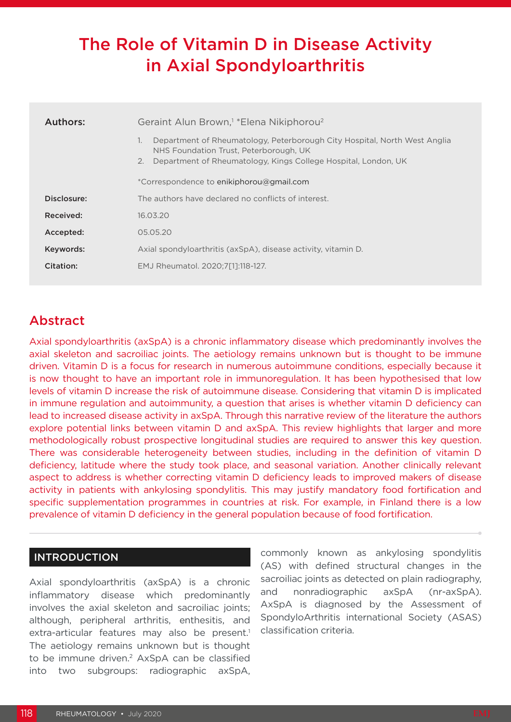# The Role of Vitamin D in Disease Activity in Axial Spondyloarthritis

| Authors:    | Geraint Alun Brown, <sup>1</sup> * Elena Nikiphorou <sup>2</sup>                                                                                                                                  |  |  |  |  |  |  |
|-------------|---------------------------------------------------------------------------------------------------------------------------------------------------------------------------------------------------|--|--|--|--|--|--|
|             | Department of Rheumatology, Peterborough City Hospital, North West Anglia<br>1.<br>NHS Foundation Trust, Peterborough, UK<br>2.<br>Department of Rheumatology, Kings College Hospital, London, UK |  |  |  |  |  |  |
|             | *Correspondence to enikiphorou@gmail.com                                                                                                                                                          |  |  |  |  |  |  |
| Disclosure: | The authors have declared no conflicts of interest.                                                                                                                                               |  |  |  |  |  |  |
| Received:   | 16.03.20                                                                                                                                                                                          |  |  |  |  |  |  |
| Accepted:   | 05.05.20                                                                                                                                                                                          |  |  |  |  |  |  |
| Keywords:   | Axial spondyloarthritis (axSpA), disease activity, vitamin D.                                                                                                                                     |  |  |  |  |  |  |
| Citation:   | EMJ Rheumatol. 2020:7[1]:118-127.                                                                                                                                                                 |  |  |  |  |  |  |

## Abstract

Axial spondyloarthritis (axSpA) is a chronic inflammatory disease which predominantly involves the axial skeleton and sacroiliac joints. The aetiology remains unknown but is thought to be immune driven. Vitamin D is a focus for research in numerous autoimmune conditions, especially because it is now thought to have an important role in immunoregulation. It has been hypothesised that low levels of vitamin D increase the risk of autoimmune disease. Considering that vitamin D is implicated in immune regulation and autoimmunity, a question that arises is whether vitamin D deficiency can lead to increased disease activity in axSpA. Through this narrative review of the literature the authors explore potential links between vitamin D and axSpA. This review highlights that larger and more methodologically robust prospective longitudinal studies are required to answer this key question. There was considerable heterogeneity between studies, including in the definition of vitamin D deficiency, latitude where the study took place, and seasonal variation. Another clinically relevant aspect to address is whether correcting vitamin D deficiency leads to improved makers of disease activity in patients with ankylosing spondylitis. This may justify mandatory food fortification and specific supplementation programmes in countries at risk. For example, in Finland there is a low prevalence of vitamin D deficiency in the general population because of food fortification.

#### INTRODUCTION

Axial spondyloarthritis (axSpA) is a chronic inflammatory disease which predominantly involves the axial skeleton and sacroiliac joints; although, peripheral arthritis, enthesitis, and extra-articular features may also be present.<sup>1</sup> The aetiology remains unknown but is thought to be immune driven.<sup>2</sup> AxSpA can be classified into two subgroups: radiographic axSpA,

commonly known as ankylosing spondylitis (AS) with defined structural changes in the sacroiliac joints as detected on plain radiography. and nonradiographic axSpA (nr-axSpA). AxSpA is diagnosed by the Assessment of SpondyloArthritis international Society (ASAS) classification criteria.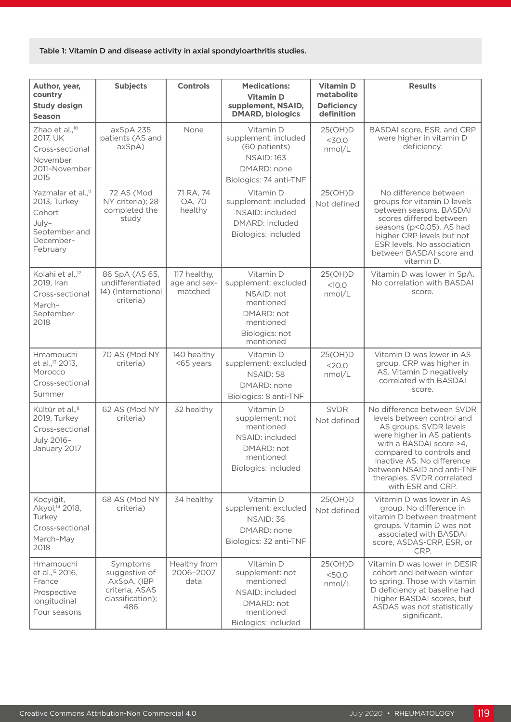#### Table 1: Vitamin D and disease activity in axial spondyloarthritis studies.

| Author, year,                                                                                               | <b>Subjects</b>                                                                       | <b>Controls</b>                         | <b>Medications:</b>                                                                                                    | <b>Vitamin D</b><br>metabolite  | <b>Results</b>                                                                                                                                                                                                                                                                         |
|-------------------------------------------------------------------------------------------------------------|---------------------------------------------------------------------------------------|-----------------------------------------|------------------------------------------------------------------------------------------------------------------------|---------------------------------|----------------------------------------------------------------------------------------------------------------------------------------------------------------------------------------------------------------------------------------------------------------------------------------|
| country<br><b>Study design</b><br><b>Season</b>                                                             |                                                                                       |                                         | <b>Vitamin D</b><br>supplement, NSAID,<br><b>DMARD, biologics</b>                                                      | <b>Deficiency</b><br>definition |                                                                                                                                                                                                                                                                                        |
| Zhao et al., <sup>10</sup><br>2017, UK<br>Cross-sectional<br>November<br>2011-November<br>2015              | axSpA 235<br>patients (AS and<br>$a \times SpA$ )                                     | None                                    | Vitamin D<br>supplement: included<br>(60 patients)<br><b>NSAID: 163</b><br>DMARD: none<br>Biologics: 74 anti-TNF       | 25(OH)D<br>$<$ 30.0<br>nmol/L   | BASDAI score, ESR, and CRP<br>were higher in vitamin D<br>deficiency.                                                                                                                                                                                                                  |
| Yazmalar et al., <sup>11</sup><br>2013, Turkey<br>Cohort<br>July-<br>September and<br>December-<br>February | 72 AS (Mod<br>NY criteria); 28<br>completed the<br>study                              | 71 RA, 74<br>OA, 70<br>healthy          | Vitamin D<br>supplement: included<br>NSAID: included<br>DMARD: included<br>Biologics: included                         | 25(OH)D<br>Not defined          | No difference between<br>groups for vitamin D levels<br>between seasons. BASDAI<br>scores differed between<br>seasons (p<0.05). AS had<br>higher CRP levels but not<br>ESR levels. No association<br>between BASDAI score and<br>vitamin D.                                            |
| Kolahi et al., <sup>12</sup><br>2019, Iran<br>Cross-sectional<br>March-<br>September<br>2018                | 86 SpA (AS 65,<br>undifferentiated<br>14) (International<br>criteria)                 | 117 healthy,<br>age and sex-<br>matched | Vitamin D<br>supplement: excluded<br>NSAID: not<br>mentioned<br>DMARD: not<br>mentioned<br>Biologics: not<br>mentioned | 25(OH)D<br><10.0<br>nmol/L      | Vitamin D was lower in SpA.<br>No correlation with BASDAI<br>score.                                                                                                                                                                                                                    |
| Hmamouchi<br>et al., <sup>13</sup> 2013,<br>Morocco<br>Cross-sectional<br>Summer                            | 70 AS (Mod NY<br>criteria)                                                            | 140 healthy<br><65 years                | Vitamin D<br>supplement: excluded<br>NSAID: 58<br>DMARD: none<br>Biologics: 8 anti-TNF                                 | 25(OH)D<br>$<$ 20.0<br>nmol/L   | Vitamin D was lower in AS<br>group. CRP was higher in<br>AS. Vitamin D negatively<br>correlated with BASDAI<br>score.                                                                                                                                                                  |
| Kültür et al., <sup>8</sup><br>2019, Turkey<br>Cross-sectional<br>July 2016-<br>January 2017                | 62 AS (Mod NY<br>criteria)                                                            | 32 healthy                              | Vitamin D<br>supplement: not<br>mentioned<br>NSAID: included<br>DMARD: not<br>mentioned<br>Biologics: included         | <b>SVDR</b><br>Not defined      | No difference between SVDR<br>levels between control and<br>AS groups. SVDR levels<br>were higher in AS patients<br>with a BASDAI score >4,<br>compared to controls and<br>inactive AS. No difference<br>between NSAID and anti-TNF<br>therapies. SVDR correlated<br>with ESR and CRP. |
| Koçyiğit,<br>Akyol, <sup>14</sup> 2018,<br>Turkey<br>Cross-sectional<br>March-May<br>2018                   | 68 AS (Mod NY<br>criteria)                                                            | 34 healthy                              | Vitamin D<br>supplement: excluded<br>NSAID: 36<br>DMARD: none<br>Biologics: 32 anti-TNF                                | 25(OH)D<br>Not defined          | Vitamin D was lower in AS<br>group. No difference in<br>vitamin D between treatment<br>groups. Vitamin D was not<br>associated with BASDAI<br>score, ASDAS-CRP, ESR, or<br>CRP.                                                                                                        |
| Hmamouchi<br>et al., <sup>15</sup> 2016,<br>France<br>Prospective<br>longitudinal<br>Four seasons           | Symptoms<br>suggestive of<br>AxSpA. (IBP<br>criteria, ASAS<br>classification);<br>486 | Healthy from<br>2006-2007<br>data       | Vitamin D<br>supplement: not<br>mentioned<br>NSAID: included<br>DMARD: not<br>mentioned<br>Biologics: included         | 25(OH)D<br>$<$ 50.0<br>nmol/L   | Vitamin D was lower in DESIR<br>cohort and between winter<br>to spring. Those with vitamin<br>D deficiency at baseline had<br>higher BASDAI scores, but<br>ASDAS was not statistically<br>significant.                                                                                 |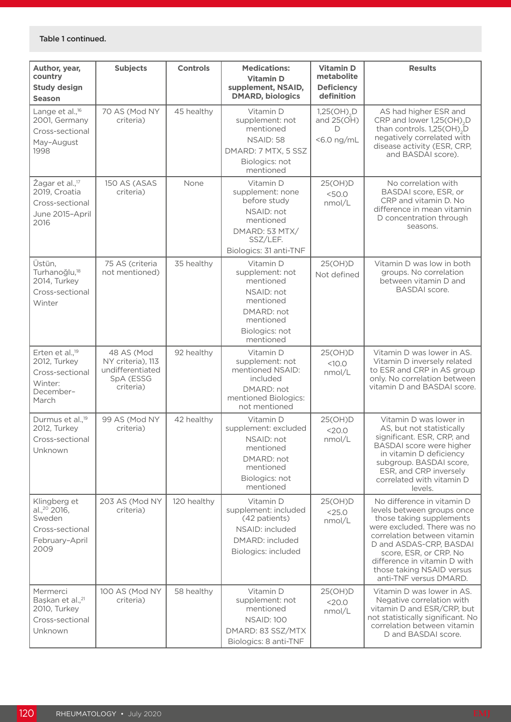| Author, year,<br>country                                                                        | <b>Subjects</b>                                                               | <b>Controls</b> | <b>Medications:</b><br><b>Vitamin D</b>                                                                                          | <b>Vitamin D</b><br>metabolite                                  | <b>Results</b>                                                                                                                                                                                                                                                                                 |
|-------------------------------------------------------------------------------------------------|-------------------------------------------------------------------------------|-----------------|----------------------------------------------------------------------------------------------------------------------------------|-----------------------------------------------------------------|------------------------------------------------------------------------------------------------------------------------------------------------------------------------------------------------------------------------------------------------------------------------------------------------|
| <b>Study design</b><br><b>Season</b>                                                            |                                                                               |                 | supplement, NSAID,<br><b>DMARD, biologics</b>                                                                                    | <b>Deficiency</b><br>definition                                 |                                                                                                                                                                                                                                                                                                |
| Lange et al., <sup>16</sup><br>2001, Germany<br>Cross-sectional<br>May-August<br>1998           | 70 AS (Mod NY<br>criteria)                                                    | 45 healthy      | Vitamin D<br>supplement: not<br>mentioned<br>NSAID: 58<br>DMARD: 7 MTX, 5 SSZ<br>Biologics: not<br>mentioned                     | $1,25(OH)$ <sub>2</sub> D<br>and $25(OH)$<br>Ð<br>$<$ 6.0 ng/mL | AS had higher ESR and<br>CRP and lower 1,25(OH), D<br>than controls. 1,25(OH), D<br>negatively correlated with<br>disease activity (ESR, CRP,<br>and BASDAI score).                                                                                                                            |
| Žagar et al., <sup>17</sup><br>2019, Croatia<br>Cross-sectional<br>June 2015-April<br>2016      | 150 AS (ASAS<br>criteria)                                                     | None            | Vitamin D<br>supplement: none<br>before study<br>NSAID: not<br>mentioned<br>DMARD: 53 MTX/<br>SSZ/LEF.<br>Biologics: 31 anti-TNF | 25(OH)D<br>$<$ 50.0<br>nmol/L                                   | No correlation with<br>BASDAI score, ESR, or<br>CRP and vitamin D. No<br>difference in mean vitamin<br>D concentration through<br>seasons.                                                                                                                                                     |
| Üstün,<br>Turhanoğlu, <sup>18</sup><br>2014, Turkey<br>Cross-sectional<br>Winter                | 75 AS (criteria<br>not mentioned)                                             | 35 healthy      | Vitamin D<br>supplement: not<br>mentioned<br>NSAID: not<br>mentioned<br>DMARD: not<br>mentioned<br>Biologics: not<br>mentioned   | 25(OH)D<br>Not defined                                          | Vitamin D was low in both<br>groups. No correlation<br>between vitamin D and<br><b>BASDAI</b> score.                                                                                                                                                                                           |
| Erten et al., <sup>19</sup><br>2012, Turkey<br>Cross-sectional<br>Winter:<br>December-<br>March | 48 AS (Mod<br>NY criteria), 113<br>undifferentiated<br>SpA (ESSG<br>criteria) | 92 healthy      | Vitamin D<br>supplement: not<br>mentioned NSAID:<br>included<br>DMARD: not<br>mentioned Biologics:<br>not mentioned              | 25(OH)D<br><10.0<br>nmol/L                                      | Vitamin D was lower in AS.<br>Vitamin D inversely related<br>to ESR and CRP in AS group<br>only. No correlation between<br>vitamin D and BASDAI score.                                                                                                                                         |
| Durmus et al., <sup>19</sup><br>2012, Turkey<br>Cross-sectional<br>Unknown                      | 99 AS (Mod NY<br>criteria)                                                    | 42 healthy      | Vitamin D<br>supplement: excluded<br>NSAID: not<br>mentioned<br>DMARD: not<br>mentioned<br>Biologics: not<br>mentioned           | 25(OH)D<br>$<$ 20.0<br>nmol/L                                   | Vitamin D was lower in<br>AS, but not statistically<br>significant. ESR, CRP, and<br>BASDAI score were higher<br>in vitamin D deficiency<br>subgroup. BASDAI score,<br>ESR, and CRP inversely<br>correlated with vitamin D<br>levels.                                                          |
| Klingberg et<br>al., <sup>20</sup> 2016,<br>Sweden<br>Cross-sectional<br>February-April<br>2009 | 203 AS (Mod NY<br>criteria)                                                   | 120 healthy     | Vitamin D<br>supplement: included<br>(42 patients)<br>NSAID: included<br>DMARD: included<br>Biologics: included                  | 25(OH)D<br>$<$ 25.0<br>nmol/L                                   | No difference in vitamin D<br>levels between groups once<br>those taking supplements<br>were excluded. There was no<br>correlation between vitamin<br>D and ASDAS-CRP, BASDAI<br>score, ESR, or CRP. No<br>difference in vitamin D with<br>those taking NSAID versus<br>anti-TNF versus DMARD. |
| Mermerci<br>Başkan et al., <sup>21</sup><br>2010, Turkey<br>Cross-sectional<br>Unknown          | 100 AS (Mod NY<br>criteria)                                                   | 58 healthy      | Vitamin D<br>supplement: not<br>mentioned<br><b>NSAID: 100</b><br>DMARD: 83 SSZ/MTX<br>Biologics: 8 anti-TNF                     | 25(OH)D<br><20.0<br>nmol/L                                      | Vitamin D was lower in AS.<br>Negative correlation with<br>vitamin D and ESR/CRP, but<br>not statistically significant. No<br>correlation between vitamin<br>D and BASDAI score.                                                                                                               |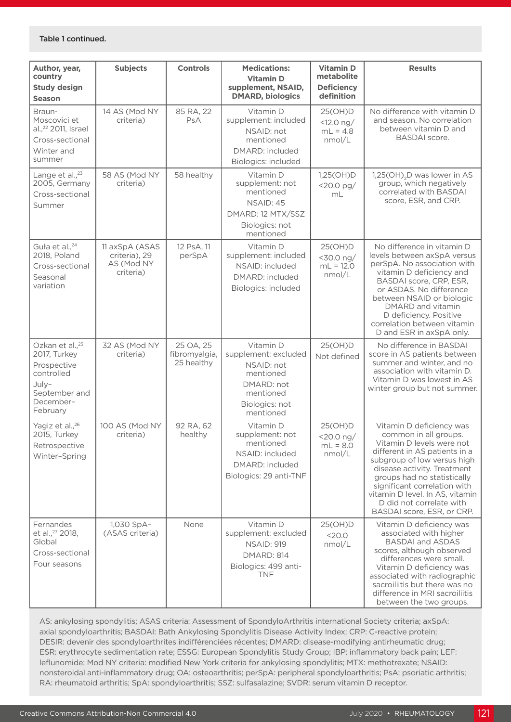| Author, year,<br>country<br><b>Study design</b><br><b>Season</b>                                                            | <b>Subjects</b>                                            | <b>Controls</b>                          | <b>Medications:</b><br><b>Vitamin D</b><br>supplement, NSAID,<br><b>DMARD, biologics</b>                               | <b>Vitamin D</b><br>metabolite<br><b>Deficiency</b><br>definition | <b>Results</b>                                                                                                                                                                                                                                                                                                                            |
|-----------------------------------------------------------------------------------------------------------------------------|------------------------------------------------------------|------------------------------------------|------------------------------------------------------------------------------------------------------------------------|-------------------------------------------------------------------|-------------------------------------------------------------------------------------------------------------------------------------------------------------------------------------------------------------------------------------------------------------------------------------------------------------------------------------------|
| Braun-<br>Moscovici et<br>al., <sup>22</sup> 2011, Israel<br>Cross-sectional<br>Winter and<br>summer                        | 14 AS (Mod NY<br>criteria)                                 | 85 RA, 22<br>PsA                         | Vitamin D<br>supplement: included<br>NSAID: not<br>mentioned<br>DMARD: included<br>Biologics: included                 | 25(OH)D<br>$<12.0$ ng/<br>$mL = 4.8$<br>nmol/L                    | No difference with vitamin D<br>and season. No correlation<br>between vitamin D and<br><b>BASDAI</b> score.                                                                                                                                                                                                                               |
| Lange et al., <sup>23</sup><br>2005, Germany<br>Cross-sectional<br>Summer                                                   | 58 AS (Mod NY<br>criteria)                                 | 58 healthy                               | Vitamin D<br>supplement: not<br>mentioned<br>NSAID: 45<br>DMARD: 12 MTX/SSZ<br>Biologics: not<br>mentioned             | 1,25(OH)D<br>$<$ 20.0 pg/<br>mL                                   | 1,25(OH), D was lower in AS<br>group, which negatively<br>correlated with BASDAI<br>score, ESR, and CRP.                                                                                                                                                                                                                                  |
| Guła et al., <sup>24</sup><br>2018, Poland<br>Cross-sectional<br>Seasonal<br>variation                                      | 11 axSpA (ASAS<br>criteria), 29<br>AS (Mod NY<br>criteria) | 12 PsA, 11<br>perSpA                     | Vitamin D<br>supplement: included<br>NSAID: included<br>DMARD: included<br>Biologics: included                         | 25(OH)D<br><30.0 ng/<br>$mL = 12.0$<br>nmol/L                     | No difference in vitamin D<br>levels between axSpA versus<br>perSpA. No association with<br>vitamin D deficiency and<br>BASDAI score, CRP, ESR,<br>or ASDAS. No difference<br>between NSAID or biologic<br>DMARD and vitamin<br>D deficiency. Positive<br>correlation between vitamin<br>D and ESR in axSpA only.                         |
| Ozkan et al., <sup>25</sup><br>2017, Turkey<br>Prospective<br>controlled<br>July-<br>September and<br>December-<br>February | 32 AS (Mod NY<br>criteria)                                 | 25 OA, 25<br>fibromyalgia,<br>25 healthy | Vitamin D<br>supplement: excluded<br>NSAID: not<br>mentioned<br>DMARD: not<br>mentioned<br>Biologics: not<br>mentioned | 25(OH)D<br>Not defined                                            | No difference in BASDAI<br>score in AS patients between<br>summer and winter, and no<br>association with vitamin D.<br>Vitamin D was lowest in AS<br>winter group but not summer.                                                                                                                                                         |
| Yagiz et al., <sup>26</sup><br>2015, Turkey<br>Retrospective<br>Winter-Spring                                               | 100 AS (Mod NY<br>criteria)                                | 92 RA, 62<br>healthy                     | Vitamin D<br>supplement: not<br>mentioned<br>NSAID: included<br>DMARD: included<br>Biologics: 29 anti-TNF              | 25(OH)D<br><20.0 ng/<br>$mL = 8.0$<br>nmol/L                      | Vitamin D deficiency was<br>common in all groups.<br>Vitamin D levels were not<br>different in AS patients in a<br>subgroup of low versus high<br>disease activity. Treatment<br>groups had no statistically<br>significant correlation with<br>vitamin D level. In AS, vitamin<br>D did not correlate with<br>BASDAI score, ESR, or CRP. |
| Fernandes<br>et al., <sup>27</sup> 2018,<br>Global<br>Cross-sectional<br>Four seasons                                       | 1,030 SpA-<br>(ASAS criteria)                              | None                                     | Vitamin D<br>supplement: excluded<br><b>NSAID: 919</b><br><b>DMARD: 814</b><br>Biologics: 499 anti-<br><b>TNF</b>      | 25(OH)D<br>$<$ 20.0<br>nmol/L                                     | Vitamin D deficiency was<br>associated with higher<br><b>BASDAI and ASDAS</b><br>scores, although observed<br>differences were small.<br>Vitamin D deficiency was<br>associated with radiographic<br>sacroiliitis but there was no<br>difference in MRI sacroiliitis<br>between the two groups.                                           |

AS: ankylosing spondylitis; ASAS criteria: Assessment of SpondyloArthritis international Society criteria; axSpA: axial spondyloarthritis; BASDAI: Bath Ankylosing Spondylitis Disease Activity Index; CRP: C-reactive protein; DESIR: devenir des spondyloarthrites indifférenciées récentes; DMARD: disease-modifying antirheumatic drug; ESR: erythrocyte sedimentation rate; ESSG: European Spondylitis Study Group; IBP: inflammatory back pain; LEF: leflunomide; Mod NY criteria: modified New York criteria for ankylosing spondylitis; MTX: methotrexate; NSAID: nonsteroidal anti-inflammatory drug; OA: osteoarthritis; perSpA: peripheral spondyloarthritis; PsA: psoriatic arthritis; RA: rheumatoid arthritis; SpA: spondyloarthritis; SSZ: sulfasalazine; SVDR: serum vitamin D receptor.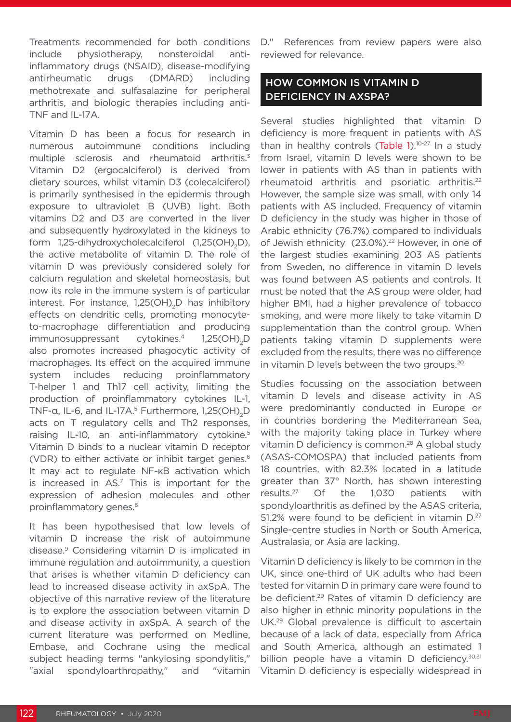Treatments recommended for both conditions include physiotherapy, nonsteroidal antiinflammatory drugs (NSAID), disease-modifying antirheumatic drugs (DMARD) including methotrexate and sulfasalazine for peripheral arthritis, and biologic therapies including anti-TNF and IL-17A.

Vitamin D has been a focus for research in numerous autoimmune conditions including multiple sclerosis and rheumatoid arthritis.<sup>3</sup> Vitamin D2 (ergocalciferol) is derived from dietary sources, whilst vitamin D3 (colecalciferol) is primarily synthesised in the epidermis through exposure to ultraviolet B (UVB) light. Both vitamins D2 and D3 are converted in the liver and subsequently hydroxylated in the kidneys to form 1,25-dihydroxycholecalciferol (1,25(OH)<sub>2</sub>D), the active metabolite of vitamin D. The role of vitamin D was previously considered solely for calcium regulation and skeletal homeostasis, but now its role in the immune system is of particular interest. For instance, 1,25(OH)<sub>2</sub>D has inhibitory effects on dendritic cells, promoting monocyteto-macrophage differentiation and producing immunosuppressant cytokines.<sup>4</sup>  $1,25(OH)$ <sub>2</sub>D also promotes increased phagocytic activity of macrophages. Its effect on the acquired immune system includes reducing proinflammatory T-helper 1 and Th17 cell activity, limiting the production of proinflammatory cytokines IL-1, TNF-α, IL-6, and IL-17A.<sup>5</sup> Furthermore, 1,25(OH)<sub>2</sub>D acts on T regulatory cells and Th2 responses, raising IL-10, an anti-inflammatory cytokine.<sup>5</sup> Vitamin D binds to a nuclear vitamin D receptor (VDR) to either activate or inhibit target genes.<sup>6</sup> It may act to regulate NF-κB activation which is increased in  $AS^7$  This is important for the expression of adhesion molecules and other proinflammatory genes.<sup>8</sup>

It has been hypothesised that low levels of vitamin D increase the risk of autoimmune disease.9 Considering vitamin D is implicated in immune regulation and autoimmunity, a question that arises is whether vitamin D deficiency can lead to increased disease activity in axSpA. The objective of this narrative review of the literature is to explore the association between vitamin D and disease activity in axSpA. A search of the current literature was performed on Medline, Embase, and Cochrane using the medical subject heading terms "ankylosing spondylitis," "axial spondyloarthropathy," and "vitamin D." References from review papers were also reviewed for relevance.

### HOW COMMON IS VITAMIN D DEFICIENCY IN AXSPA?

Several studies highlighted that vitamin D deficiency is more frequent in patients with AS than in healthy controls (Table 1).<sup>10-27</sup> In a study from Israel, vitamin D levels were shown to be lower in patients with AS than in patients with rheumatoid arthritis and psoriatic arthritis.22 However, the sample size was small, with only 14 patients with AS included. Frequency of vitamin D deficiency in the study was higher in those of Arabic ethnicity (76.7%) compared to individuals of Jewish ethnicity (23.0%).<sup>22</sup> However, in one of the largest studies examining 203 AS patients from Sweden, no difference in vitamin D levels was found between AS patients and controls. It must be noted that the AS group were older, had higher BMI, had a higher prevalence of tobacco smoking, and were more likely to take vitamin D supplementation than the control group. When patients taking vitamin D supplements were excluded from the results, there was no difference in vitamin D levels between the two groups.<sup>20</sup>

Studies focussing on the association between vitamin D levels and disease activity in AS were predominantly conducted in Europe or in countries bordering the Mediterranean Sea, with the majority taking place in Turkey where vitamin D deficiency is common.<sup>28</sup> A global study (ASAS-COMOSPA) that included patients from 18 countries, with 82.3% located in a latitude greater than 37° North, has shown interesting results.27 Of the 1,030 patients with spondyloarthritis as defined by the ASAS criteria, 51.2% were found to be deficient in vitamin  $D^{27}$ Single-centre studies in North or South America, Australasia, or Asia are lacking.

Vitamin D deficiency is likely to be common in the UK, since one-third of UK adults who had been tested for vitamin D in primary care were found to be deficient.29 Rates of vitamin D deficiency are also higher in ethnic minority populations in the UK.29 Global prevalence is difficult to ascertain because of a lack of data, especially from Africa and South America, although an estimated 1 billion people have a vitamin D deficiency.<sup>30,31</sup> Vitamin D deficiency is especially widespread in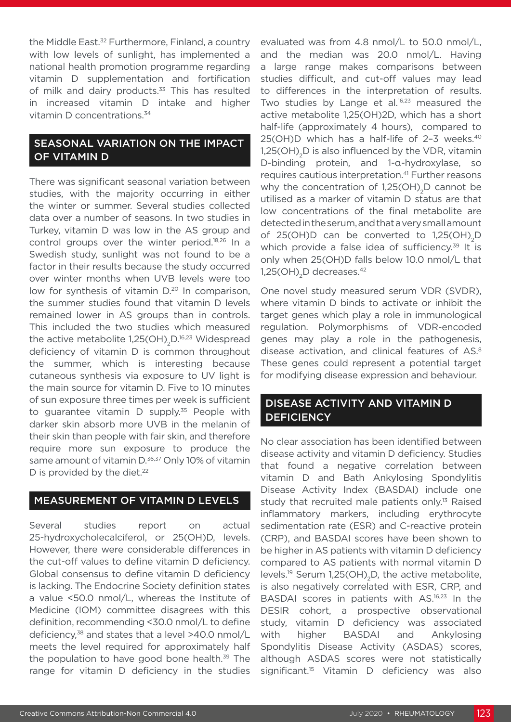the Middle East.<sup>32</sup> Furthermore, Finland, a country with low levels of sunlight, has implemented a national health promotion programme regarding vitamin D supplementation and fortification of milk and dairy products.<sup>33</sup> This has resulted in increased vitamin D intake and higher vitamin D concentrations.34

#### SEASONAL VARIATION ON THE IMPACT OF VITAMIN D

There was significant seasonal variation between studies, with the majority occurring in either the winter or summer. Several studies collected data over a number of seasons. In two studies in Turkey, vitamin D was low in the AS group and control groups over the winter period.18,26 In a Swedish study, sunlight was not found to be a factor in their results because the study occurred over winter months when UVB levels were too low for synthesis of vitamin  $D<sup>20</sup>$  In comparison, the summer studies found that vitamin D levels remained lower in AS groups than in controls. This included the two studies which measured the active metabolite  $1,25(OH)_{2}D^{16,23}$  Widespread deficiency of vitamin D is common throughout the summer, which is interesting because cutaneous synthesis via exposure to UV light is the main source for vitamin D. Five to 10 minutes of sun exposure three times per week is sufficient to guarantee vitamin D supply.<sup>35</sup> People with darker skin absorb more UVB in the melanin of their skin than people with fair skin, and therefore require more sun exposure to produce the same amount of vitamin D.<sup>36,37</sup> Only 10% of vitamin D is provided by the diet.<sup>22</sup>

#### MEASUREMENT OF VITAMIN D LEVELS

Several studies report on actual 25-hydroxycholecalciferol, or 25(OH)D, levels. However, there were considerable differences in the cut-off values to define vitamin D deficiency. Global consensus to define vitamin D deficiency is lacking. The Endocrine Society definition states a value <50.0 nmol/L, whereas the Institute of Medicine (IOM) committee disagrees with this definition, recommending <30.0 nmol/L to define deficiency,<sup>38</sup> and states that a level >40.0 nmol/L meets the level required for approximately half the population to have good bone health.<sup>39</sup> The range for vitamin D deficiency in the studies

evaluated was from 4.8 nmol/L to 50.0 nmol/L, and the median was 20.0 nmol/L. Having a large range makes comparisons between studies difficult, and cut-off values may lead to differences in the interpretation of results. Two studies by Lange et al.<sup>16,23</sup> measured the active metabolite 1,25(OH)2D, which has a short half-life (approximately 4 hours), compared to 25(OH)D which has a half-life of 2–3 weeks.40 1,25(OH)<sub>2</sub>D is also influenced by the VDR, vitamin D-binding protein, and 1-α-hydroxylase, so requires cautious interpretation.<sup>41</sup> Further reasons why the concentration of  $1,25(OH)$ <sub>2</sub>D cannot be utilised as a marker of vitamin D status are that low concentrations of the final metabolite are detected in the serum, and that a very small amount of 25(OH)D can be converted to  $1,25(OH)$ <sub>2</sub>D which provide a false idea of sufficiency.<sup>39</sup> It is only when 25(OH)D falls below 10.0 nmol/L that  $1,25$ (OH)<sub>2</sub>D decreases.<sup>42</sup>

One novel study measured serum VDR (SVDR), where vitamin D binds to activate or inhibit the target genes which play a role in immunological regulation. Polymorphisms of VDR-encoded genes may play a role in the pathogenesis, disease activation, and clinical features of AS.<sup>8</sup> These genes could represent a potential target for modifying disease expression and behaviour.

#### DISEASE ACTIVITY AND VITAMIN D **DEFICIENCY**

No clear association has been identified between disease activity and vitamin D deficiency. Studies that found a negative correlation between vitamin D and Bath Ankylosing Spondylitis Disease Activity Index (BASDAI) include one study that recruited male patients only.<sup>13</sup> Raised inflammatory markers, including erythrocyte sedimentation rate (ESR) and C-reactive protein (CRP), and BASDAI scores have been shown to be higher in AS patients with vitamin D deficiency compared to AS patients with normal vitamin D levels.<sup>19</sup> Serum 1,25(OH)<sub>2</sub>D, the active metabolite, is also negatively correlated with ESR, CRP, and BASDAI scores in patients with AS.16,23 In the DESIR cohort, a prospective observational study, vitamin D deficiency was associated with higher BASDAI and Ankylosing Spondylitis Disease Activity (ASDAS) scores, although ASDAS scores were not statistically significant.<sup>15</sup> Vitamin D deficiency was also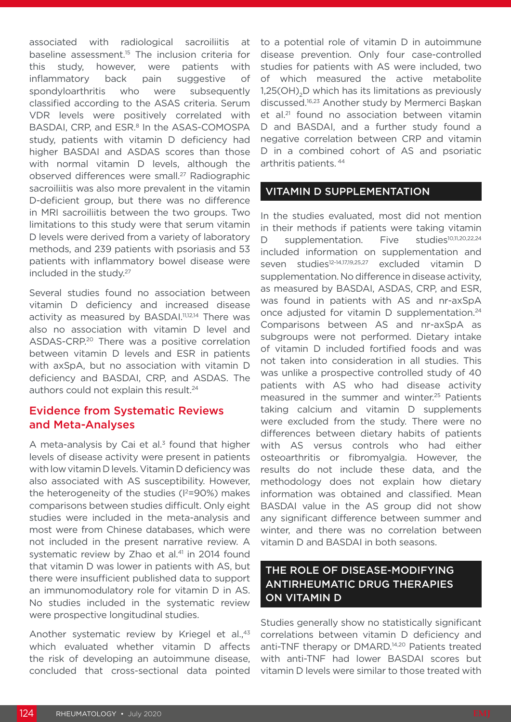associated with radiological sacroiliitis at baseline assessment.<sup>15</sup> The inclusion criteria for this study, however, were patients with inflammatory back pain suggestive of spondyloarthritis who were subsequently classified according to the ASAS criteria. Serum VDR levels were positively correlated with BASDAI, CRP, and ESR.<sup>8</sup> In the ASAS-COMOSPA study, patients with vitamin D deficiency had higher BASDAI and ASDAS scores than those with normal vitamin D levels, although the observed differences were small.<sup>27</sup> Radiographic sacroiliitis was also more prevalent in the vitamin D-deficient group, but there was no difference in MRI sacroiliitis between the two groups. Two limitations to this study were that serum vitamin D levels were derived from a variety of laboratory methods, and 239 patients with psoriasis and 53 patients with inflammatory bowel disease were included in the study.27

Several studies found no association between vitamin D deficiency and increased disease activity as measured by BASDAI.<sup>11,12,14</sup> There was also no association with vitamin D level and ASDAS-CRP.20 There was a positive correlation between vitamin D levels and ESR in patients with axSpA, but no association with vitamin D deficiency and BASDAI, CRP, and ASDAS. The authors could not explain this result.<sup>24</sup>

#### Evidence from Systematic Reviews and Meta-Analyses

A meta-analysis by Cai et al. $3$  found that higher levels of disease activity were present in patients with low vitamin D levels. Vitamin D deficiency was also associated with AS susceptibility. However, the heterogeneity of the studies  $(1^2=90\%)$  makes comparisons between studies difficult. Only eight studies were included in the meta-analysis and most were from Chinese databases, which were not included in the present narrative review. A systematic review by Zhao et al.<sup>41</sup> in 2014 found that vitamin D was lower in patients with AS, but there were insufficient published data to support an immunomodulatory role for vitamin D in AS. No studies included in the systematic review were prospective longitudinal studies.

Another systematic review by Kriegel et al.,<sup>43</sup> which evaluated whether vitamin D affects the risk of developing an autoimmune disease, concluded that cross-sectional data pointed

to a potential role of vitamin D in autoimmune disease prevention. Only four case-controlled studies for patients with AS were included, two of which measured the active metabolite 1.25(OH). D which has its limitations as previously discussed.16,23 Another study by Mermerci Başkan et al.<sup>21</sup> found no association between vitamin D and BASDAI, and a further study found a negative correlation between CRP and vitamin D in a combined cohort of AS and psoriatic arthritis patients. 44

#### VITAMIN D SUPPLEMENTATION

In the studies evaluated, most did not mention in their methods if patients were taking vitamin D supplementation. Five studies<sup>10,11,20,22,24</sup> included information on supplementation and seven studies<sup>12-14,17,19,25,27</sup> excluded vitamin D supplementation. No difference in disease activity, as measured by BASDAI, ASDAS, CRP, and ESR, was found in patients with AS and nr-axSpA once adjusted for vitamin D supplementation.<sup>24</sup> Comparisons between AS and nr-axSpA as subgroups were not performed. Dietary intake of vitamin D included fortified foods and was not taken into consideration in all studies. This was unlike a prospective controlled study of 40 patients with AS who had disease activity measured in the summer and winter.25 Patients taking calcium and vitamin D supplements were excluded from the study. There were no differences between dietary habits of patients with AS versus controls who had either osteoarthritis or fibromyalgia. However, the results do not include these data, and the methodology does not explain how dietary information was obtained and classified. Mean BASDAI value in the AS group did not show any significant difference between summer and winter, and there was no correlation between vitamin D and BASDAI in both seasons.

#### THE ROLE OF DISEASE-MODIFYING ANTIRHEUMATIC DRUG THERAPIES ON VITAMIN D

Studies generally show no statistically significant correlations between vitamin D deficiency and anti-TNF therapy or DMARD.14,20 Patients treated with anti-TNF had lower BASDAI scores but vitamin D levels were similar to those treated with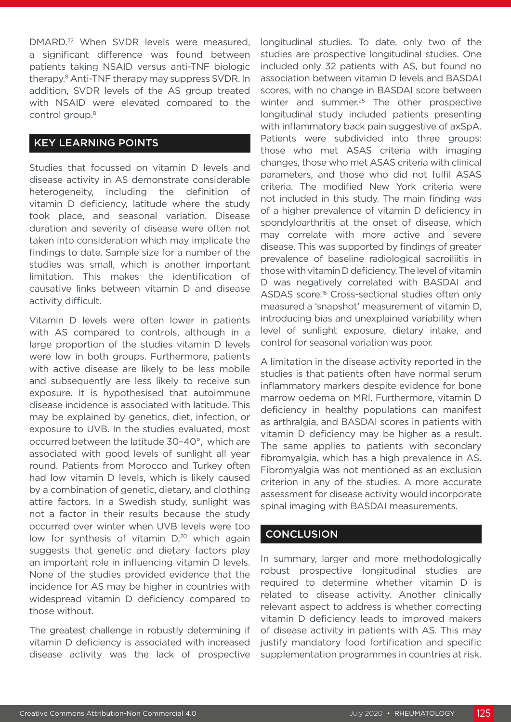DMARD.22 When SVDR levels were measured, a significant difference was found between patients taking NSAID versus anti-TNF biologic therapy.8 Anti-TNF therapy may suppress SVDR. In addition, SVDR levels of the AS group treated with NSAID were elevated compared to the control group.8

#### KEY LEARNING POINTS

Studies that focussed on vitamin D levels and disease activity in AS demonstrate considerable heterogeneity, including the definition of vitamin D deficiency, latitude where the study took place, and seasonal variation. Disease duration and severity of disease were often not taken into consideration which may implicate the findings to date. Sample size for a number of the studies was small, which is another important limitation. This makes the identification of causative links between vitamin D and disease activity difficult.

Vitamin D levels were often lower in patients with AS compared to controls, although in a large proportion of the studies vitamin D levels were low in both groups. Furthermore, patients with active disease are likely to be less mobile and subsequently are less likely to receive sun exposure. It is hypothesised that autoimmune disease incidence is associated with latitude. This may be explained by genetics, diet, infection, or exposure to UVB. In the studies evaluated, most occurred between the latitude 30–40°, which are associated with good levels of sunlight all year round. Patients from Morocco and Turkey often had low vitamin D levels, which is likely caused by a combination of genetic, dietary, and clothing attire factors. In a Swedish study, sunlight was not a factor in their results because the study occurred over winter when UVB levels were too low for synthesis of vitamin  $D<sub>1</sub><sup>20</sup>$  which again suggests that genetic and dietary factors play an important role in influencing vitamin D levels. None of the studies provided evidence that the incidence for AS may be higher in countries with widespread vitamin D deficiency compared to those without.

The greatest challenge in robustly determining if vitamin D deficiency is associated with increased disease activity was the lack of prospective longitudinal studies. To date, only two of the studies are prospective longitudinal studies. One included only 32 patients with AS, but found no association between vitamin D levels and BASDAI scores, with no change in BASDAI score between winter and summer.<sup>25</sup> The other prospective longitudinal study included patients presenting with inflammatory back pain suggestive of axSpA. Patients were subdivided into three groups: those who met ASAS criteria with imaging changes, those who met ASAS criteria with clinical parameters, and those who did not fulfil ASAS criteria. The modified New York criteria were not included in this study. The main finding was of a higher prevalence of vitamin D deficiency in spondyloarthritis at the onset of disease, which may correlate with more active and severe disease. This was supported by findings of greater prevalence of baseline radiological sacroiliitis in those with vitamin D deficiency. The level of vitamin D was negatively correlated with BASDAI and ASDAS score.15 Cross-sectional studies often only measured a 'snapshot' measurement of vitamin D, introducing bias and unexplained variability when level of sunlight exposure, dietary intake, and control for seasonal variation was poor.

A limitation in the disease activity reported in the studies is that patients often have normal serum inflammatory markers despite evidence for bone marrow oedema on MRI. Furthermore, vitamin D deficiency in healthy populations can manifest as arthralgia, and BASDAI scores in patients with vitamin D deficiency may be higher as a result. The same applies to patients with secondary fibromyalgia, which has a high prevalence in AS. Fibromyalgia was not mentioned as an exclusion criterion in any of the studies. A more accurate assessment for disease activity would incorporate spinal imaging with BASDAI measurements.

#### **CONCLUSION**

In summary, larger and more methodologically robust prospective longitudinal studies are required to determine whether vitamin D is related to disease activity. Another clinically relevant aspect to address is whether correcting vitamin D deficiency leads to improved makers of disease activity in patients with AS. This may justify mandatory food fortification and specific supplementation programmes in countries at risk.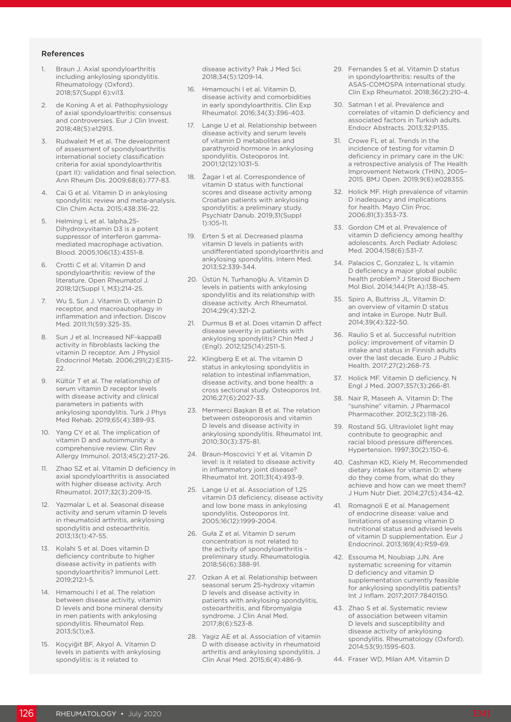#### References

- 1. Braun J. Axial spondyloarthritis including ankylosing spondylitis. Rheumatology (Oxford). 2018;57(Suppl 6):vi13.
- de Koning A et al. Pathophysiology of axial spondyloarthritis: consensus and controversies. Eur J Clin Invest. 2018;48(5):e12913.
- 3. Rudwaleit M et al. The development of assessment of spondyloarthritis international society classification criteria for axial spondyloarthritis (part II): validation and final selection. Ann Rheum Dis. 2009;68(6):777-83.
- 4. Cai G et al. Vitamin D in ankylosing spondylitis: review and meta-analysis. Clin Chim Acta. 2015;438:316-22.
- 5. Helming L et al. 1alpha,25- Dihydroxyvitamin D3 is a potent suppressor of interferon gammamediated macrophage activation. Blood. 2005;106(13):4351-8.
- 6. Crotti C et al. Vitamin D and spondyloarthritis: review of the literature. Open Rheumatol J. 2018;12(Suppl 1, M3):214-25.
- 7. Wu S, Sun J. Vitamin D, vitamin D receptor, and macroautophagy in inflammation and infection. Discov Med. 2011;11(59):325-35.
- 8. Sun J et al. Increased NF-kappaB activity in fibroblasts lacking the vitamin D receptor. Am J Physiol Endocrinol Metab. 2006;291(2):E315- 22.
- 9. Kültür T et al. The relationship of serum vitamin D receptor levels with disease activity and clinical parameters in patients with ankylosing spondylitis. Turk J Phys Med Rehab. 2019;65(4):389-93.
- 10. Yang CY et al. The implication of vitamin D and autoimmunity: a comprehensive review. Clin Rev Allergy Immunol. 2013;45(2):217-26.
- 11. Zhao SZ et al. Vitamin D deficiency in axial spondyloarthritis is associated with higher disease activity. Arch Rheumatol. 2017;32(3):209-15.
- 12. Yazmalar L et al. Seasonal disease activity and serum vitamin D levels in rheumatoid arthritis, ankylosing spondylitis and osteoarthritis. 2013;13(1):47-55.
- 13. Kolahi S et al. Does vitamin D deficiency contribute to higher disease activity in patients with spondyloarthritis? Immunol Lett. 2019;212:1-5.
- 14. Hmamouchi I et al. The relation between disease activity, vitamin D levels and bone mineral density in men patients with ankylosing spondylitis. Rheumatol Rep. 2013;5(1);e3.
- 15. Koçyiğit BF, Akyol A. Vitamin D levels in patients with ankylosing spondylitis: is it related to

disease activity? Pak J Med Sci. 2018;34(5):1209-14.

- 16. Hmamouchi I et al. Vitamin D, disease activity and comorbidities in early spondyloarthritis. Clin Exp Rheumatol. 2016;34(3):396-403.
- 17. Lange U et al. Relationship between disease activity and serum levels of vitamin D metabolites and parathyroid hormone in ankylosing spondylitis. Osteoporos Int. 2001;12(12):1031-5.
- 18. Žagar I et al. Correspondence of vitamin D status with functional scores and disease activity among Croatian patients with ankylosing spondylitis: a preliminary study. Psychiatr Danub. 2019;31(Suppl 1):105-11.
- 19. Erten S et al. Decreased plasma vitamin D levels in patients with undifferentiated spondyloarthritis and ankylosing spondylitis. Intern Med. 2013;52:339-344.
- 20. Üstün N, Turhanoğlu A. Vitamin D levels in patients with ankylosing spondylitis and its relationship with disease activity. Arch Rheumatol. 2014;29(4):321-2.
- 21. Durmus B et al. Does vitamin D affect disease severity in patients with ankylosing spondylitis? Chin Med J (Engl). 2012;125(14):2511-5.
- 22. Klingberg E et al. The vitamin D status in ankylosing spondylitis in relation to intestinal inflammation, disease activity, and bone health: a cross sectional study. Osteoporos Int. 2016;27(6):2027-33.
- 23. Mermerci Başkan B et al. The relation between osteoporosis and vitamin D levels and disease activity in ankylosing spondylitis. Rheumatol Int. 2010;30(3):375-81.
- 24. Braun-Moscovici Y et al. Vitamin D level: is it related to disease activity in inflammatory joint disease? Rheumatol Int. 2011;31(4):493-9.
- 25. Lange U et al. Association of 1.25 vitamin D3 deficiency, disease activity and low bone mass in ankylosing spondylitis. Osteoporos Int. 2005;16(12):1999-2004.
- 26. Guła Z et al. Vitamin D serum concentration is not related to the activity of spondyloarthritis preliminary study. Rheumatologia. 2018;56(6):388-91.
- 27. Ozkan A et al. Relationship between seasonal serum 25-hydroxy vitamin D levels and disease activity in patients with ankylosing spondylitis, osteoarthritis, and fibromyalgia syndrome. J Clin Anal Med. 2017;8(6):523-8.
- 28. Yagiz AE et al. Association of vitamin D with disease activity in rheumatoid arthritis and ankylosing spondylitis. J Clin Anal Med. 2015;6(4):486-9.
- 29. Fernandes S et al. Vitamin D status in spondyloarthritis: results of the ASAS-COMOSPA international study. Clin Exp Rheumatol. 2018;36(2):210-4.
- 30. Satman I et al. Prevalence and correlates of vitamin D deficiency and associated factors in Turkish adults. Endocr Abstracts. 2013;32:P135.
- 31. Crowe FL et al. Trends in the incidence of testing for vitamin D deficiency in primary care in the UK: a retrospective analysis of The Health Improvement Network (THIN), 2005– 2015. BMJ Open. 2019;9(6):e028355.
- 32. Holick MF. High prevalence of vitamin D inadequacy and implications for health. Mayo Clin Proc. 2006;81(3):353-73.
- 33. Gordon CM et al. Prevalence of vitamin D deficiency among healthy adolescents. Arch Pediatr Adolesc Med. 2004;158(6):531-7.
- 34. Palacios C, Gonzalez L. Is vitamin D deficiency a major global public health problem? J Steroid Biochem Mol Biol. 2014;144(Pt A):138-45.
- 35. Spiro A, Buttriss JL. Vitamin D: an overview of vitamin D status and intake in Europe. Nutr Bull. 2014;39(4):322-50.
- 36. Raulio S et al. Successful nutrition policy: improvement of vitamin D intake and status in Finnish adults over the last decade. Euro J Public Health. 2017;27(2):268-73.
- 37. Holick MF. Vitamin D deficiency. N Engl J Med. 2007;357(3):266-81.
- 38. Nair R, Maseeh A. Vitamin D: The "sunshine" vitamin. J Pharmacol Pharmacother. 2012;3(2):118-26.
- 39. Rostand SG. Ultraviolet light may contribute to geographic and racial blood pressure differences. Hypertension. 1997;30(2):150-6.
- 40. Cashman KD, Kiely M. Recommended dietary intakes for vitamin D: where do they come from, what do they achieve and how can we meet them? J Hum Nutr Diet. 2014;27(5):434-42.
- 41. Romagnoli E et al. Management of endocrine disease: value and limitations of assessing vitamin D nutritional status and advised levels of vitamin D supplementation. Eur J Endocrinol. 2013;169(4):R59-69.
- 42. Essouma M, Noubiap JJN. Are systematic screening for vitamin D deficiency and vitamin D supplementation currently feasible for ankylosing spondylitis patients? Int J Inflam. 2017;2017:7840150.
- 43. Zhao S et al. Systematic review of association between vitamin D levels and susceptibility and disease activity of ankylosing spondylitis. Rheumatology (Oxford). 2014;53(9):1595-603.
- 44. Fraser WD, Milan AM. Vitamin D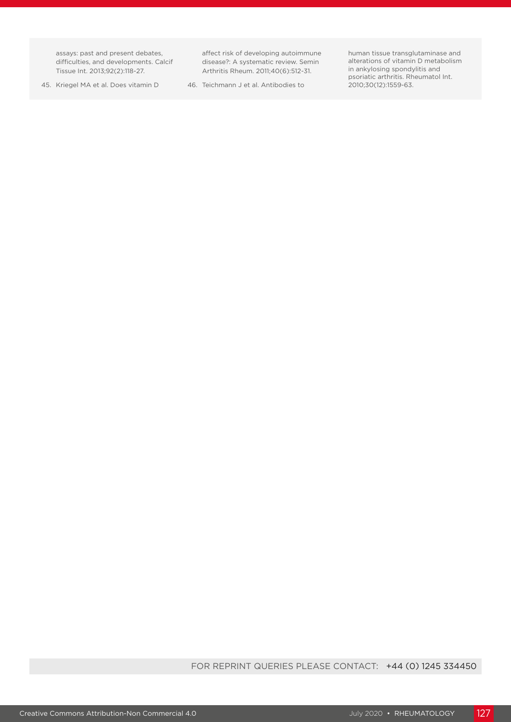assays: past and present debates, difficulties, and developments. Calcif Tissue Int. 2013;92(2):118-27.

45. Kriegel MA et al. Does vitamin D

affect risk of developing autoimmune disease?: A systematic review. Semin Arthritis Rheum. 2011;40(6):512-31.

46. Teichmann J et al. Antibodies to

human tissue transglutaminase and alterations of vitamin D metabolism in ankylosing spondylitis and psoriatic arthritis. Rheumatol Int. 2010;30(12):1559-63.

FOR REPRINT QUERIES PLEASE CONTACT: +44 (0) 1245 334450